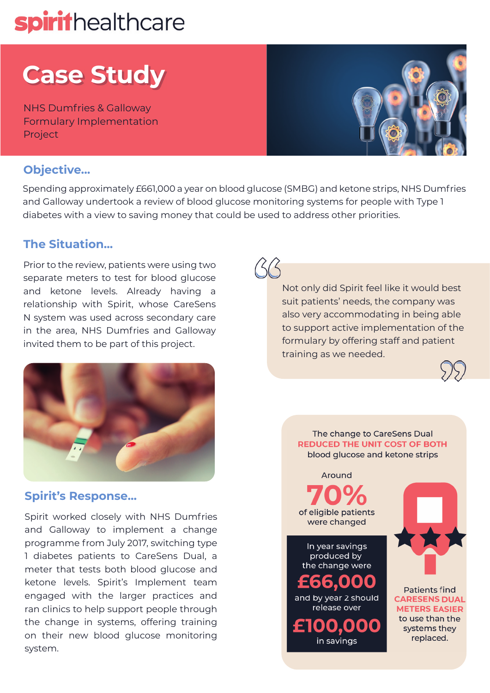# spirithealthcare

# **Case Study**

NHS Dumfries & Galloway Formulary Implementation Project



### **Objective...**

Spending approximately £661,000 a year on blood glucose (SMBG) and ketone strips, NHS Dumfries and Galloway undertook a review of blood glucose monitoring systems for people with Type 1 diabetes with a view to saving money that could be used to address other priorities.

## **The Situation...**

Prior to the review, patients were using two separate meters to test for blood glucose and ketone levels. Already having a relationship with Spirit, whose CareSens N system was used across secondary care in the area, NHS Dumfries and Galloway invited them to be part of this project.



## **Spirit's Response...**

Spirit worked closely with NHS Dumfries and Galloway to implement a change programme from July 2017, switching type 1 diabetes patients to CareSens Dual, a meter that tests both blood glucose and ketone levels. Spirit's Implement team engaged with the larger practices and ran clinics to help support people through the change in systems, offering training on their new blood glucose monitoring system.

Not only did Spirit feel like it would best suit patients' needs, the company was also very accommodating in being able to support active implementation of the formulary by offering staff and patient training as we needed.



The change to CareSens Dual **REDUCED THE UNIT COST OF BOTH** blood glucose and ketone strips Around

of eligible patients were changed

In year savings produced by the change were

£66,000 and by year 2 should release over

000 in savings



**Patients find CARESENS DUAL METERS EASIER** to use than the systems they replaced.